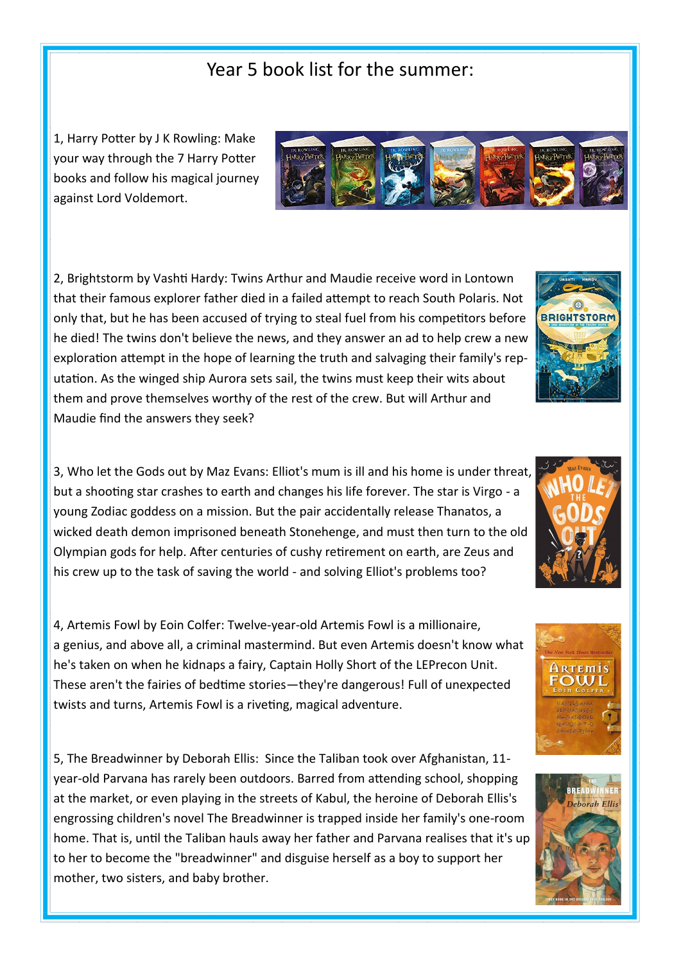## Year 5 book list for the summer:

1, Harry Potter by J K Rowling: Make your way through the 7 Harry Potter books and follow his magical journey against Lord Voldemort.

2, Brightstorm by Vashti Hardy: Twins Arthur and Maudie receive word in Lontown that their famous explorer father died in a failed attempt to reach South Polaris. Not only that, but he has been accused of trying to steal fuel from his competitors before he died! The twins don't believe the news, and they answer an ad to help crew a new exploration attempt in the hope of learning the truth and salvaging their family's reputation. As the winged ship Aurora sets sail, the twins must keep their wits about them and prove themselves worthy of the rest of the crew. But will Arthur and Maudie find the answers they seek?

3, Who let the Gods out by Maz Evans: Elliot's mum is ill and his home is under threat, but a shooting star crashes to earth and changes his life forever. The star is Virgo - a young Zodiac goddess on a mission. But the pair accidentally release Thanatos, a wicked death demon imprisoned beneath Stonehenge, and must then turn to the old Olympian gods for help. After centuries of cushy retirement on earth, are Zeus and his crew up to the task of saving the world - and solving Elliot's problems too?

4, Artemis Fowl by Eoin Colfer: Twelve-year-old Artemis Fowl is a millionaire, a genius, and above all, a criminal mastermind. But even Artemis doesn't know what he's taken on when he kidnaps a fairy, Captain Holly Short of the LEPrecon Unit. These aren't the fairies of bedtime stories—they're dangerous! Full of unexpected twists and turns, Artemis Fowl is a riveting, magical adventure.

5, The Breadwinner by Deborah Ellis: Since the Taliban took over Afghanistan, 11 year-old Parvana has rarely been outdoors. Barred from attending school, shopping at the market, or even playing in the streets of Kabul, the heroine of Deborah Ellis's engrossing children's novel The Breadwinner is trapped inside her family's one-room home. That is, until the Taliban hauls away her father and Parvana realises that it's up to her to become the "breadwinner" and disguise herself as a boy to support her mother, two sisters, and baby brother.









ARTEMIS **FOWL**